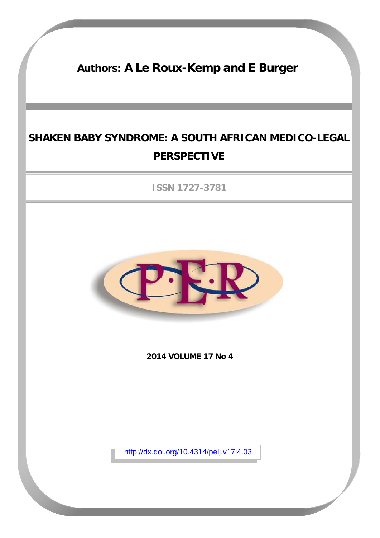# **Authors: A Le Roux-Kemp and E Burger**

# **SHAKEN BABY SYNDROME: A SOUTH AFRICAN MEDICO-LEGAL PERSPECTIVE**

**ISSN 1727-3781**



**2014 VOLUME 17 No 4**

<http://dx.doi.org/10.4314/pelj.v17i4.03>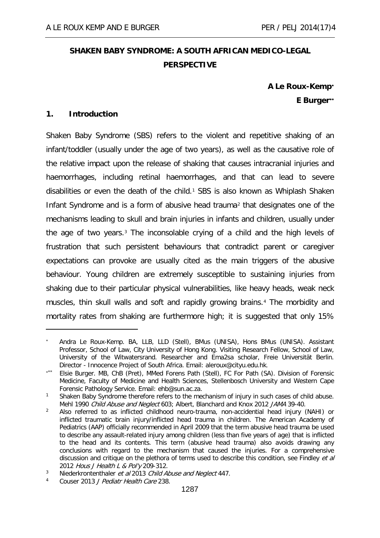# **SHAKEN BABY SYNDROME: A SOUTH AFRICAN MEDICO-LEGAL PERSPECTIVE**

**A Le Roux-Kemp**[∗](#page-1-0) **E Burger**[∗∗](#page-1-1)

# **1. Introduction**

-

Shaken Baby Syndrome (SBS) refers to the violent and repetitive shaking of an infant/toddler (usually under the age of two years), as well as the causative role of the relative impact upon the release of shaking that causes intracranial injuries and haemorrhages, including retinal haemorrhages, and that can lead to severe disabilities or even the death of the child.<sup>[1](#page-1-2)</sup> SBS is also known as Whiplash Shaken Infant Syndrome and is a form of abusive head trauma<sup>[2](#page-1-3)</sup> that designates one of the mechanisms leading to skull and brain injuries in infants and children, usually under the age of two years.<sup>[3](#page-1-4)</sup> The inconsolable crying of a child and the high levels of frustration that such persistent behaviours that contradict parent or caregiver expectations can provoke are usually cited as the main triggers of the abusive behaviour. Young children are extremely susceptible to sustaining injuries from shaking due to their particular physical vulnerabilities, like heavy heads, weak neck muscles, thin skull walls and soft and rapidly growing brains.[4](#page-1-5) The morbidity and mortality rates from shaking are furthermore high; it is suggested that only 15%

<span id="page-1-0"></span><sup>∗</sup> Andra Le Roux-Kemp. BA, LLB, LLD (Stell), BMus (UNISA), Hons BMus (UNISA). Assistant Professor, School of Law, City University of Hong Kong. Visiting Research Fellow, School of Law, University of the Witwatersrand. Researcher and Ema2sa scholar, Freie Universität Berlin. Director - Innocence Project of South Africa. Email: [aleroux@cityu.edu.hk](mailto:aleroux@cityu.edu.hk).

<span id="page-1-1"></span>Elsie Burger. MB, ChB (Pret), MMed Forens Path (Stell), FC For Path (SA). Division of Forensic Medicine, Faculty of Medicine and Health Sciences, Stellenbosch University and Western Cape Forensic Pathology Service. Email: ehb@sun.ac.za.

<span id="page-1-2"></span><sup>&</sup>lt;sup>1</sup> Shaken Baby Syndrome therefore refers to the mechanism of injury in such cases of child abuse. Mehl 1990 Child Abuse and Neglect 603; Albert, Blanchard and Knox 2012 JAMA 39-40.

<span id="page-1-3"></span><sup>&</sup>lt;sup>2</sup> Also referred to as inflicted childhood neuro-trauma, non-accidential head injury (NAHI) or inflicted traumatic brain injury/inflicted head trauma in children. The American Academy of Pediatrics (AAP) officially recommended in April 2009 that the term abusive head trauma be used to describe any assault-related injury among children (less than five years of age) that is inflicted to the head and its contents. This term (abusive head trauma) also avoids drawing any conclusions with regard to the mechanism that caused the injuries. For a comprehensive discussion and critique on the plethora of terms used to describe this condition, see Findley et al 2012 Hous J Health L & Pol'y 209-312.

<span id="page-1-4"></span><sup>&</sup>lt;sup>3</sup> Niederkrontenthaler *et al* 2013 Child Abuse and Neglect 447.

<span id="page-1-5"></span>Couser 2013 J Pediatr Health Care 238.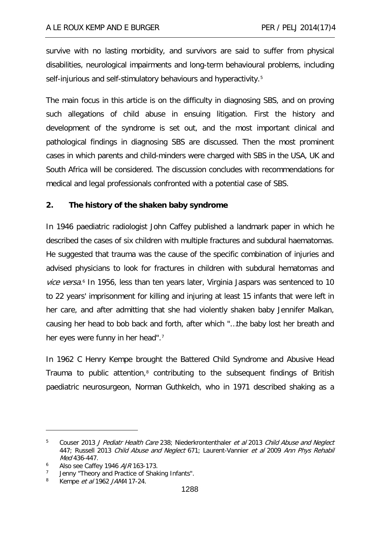survive with no lasting morbidity, and survivors are said to suffer from physical disabilities, neurological impairments and long-term behavioural problems, including self-injurious and self-stimulatory behaviours and hyperactivity.<sup>[5](#page-2-0)</sup>

The main focus in this article is on the difficulty in diagnosing SBS, and on proving such allegations of child abuse in ensuing litigation. First the history and development of the syndrome is set out, and the most important clinical and pathological findings in diagnosing SBS are discussed. Then the most prominent cases in which parents and child-minders were charged with SBS in the USA, UK and South Africa will be considered. The discussion concludes with recommendations for medical and legal professionals confronted with a potential case of SBS.

# **2. The history of the shaken baby syndrome**

In 1946 paediatric radiologist John Caffey published a landmark paper in which he described the cases of six children with multiple fractures and subdural haematomas. He suggested that trauma was the cause of the specific combination of injuries and advised physicians to look for fractures in children with subdural hematomas and vice versa.<sup>[6](#page-2-1)</sup> In 1956, less than ten years later, Virginia Jaspars was sentenced to 10 to 22 years' imprisonment for killing and injuring at least 15 infants that were left in her care, and after admitting that she had violently shaken baby Jennifer Malkan, causing her head to bob back and forth, after which "…the baby lost her breath and her eyes were funny in her head".<sup>[7](#page-2-2)</sup>

In 1962 C Henry Kempe brought the Battered Child Syndrome and Abusive Head Trauma to public attention,<sup>[8](#page-2-3)</sup> contributing to the subsequent findings of British paediatric neurosurgeon, Norman Guthkelch, who in 1971 described shaking as a

<span id="page-2-0"></span><sup>&</sup>lt;sup>5</sup> Couser 2013 J Pediatr Health Care 238; Niederkrontenthaler et al 2013 Child Abuse and Neglect 447; Russell 2013 Child Abuse and Neglect 671; Laurent-Vannier et al 2009 Ann Phys Rehabil Med 436-447.

<span id="page-2-1"></span><sup>&</sup>lt;sup>6</sup> Also see Caffey 1946  $A/R$  163-173.

<span id="page-2-2"></span> $7$  Jenny "Theory and Practice of Shaking Infants".

<span id="page-2-3"></span><sup>8</sup> Kempe *et al* 1962 JAMA 17-24.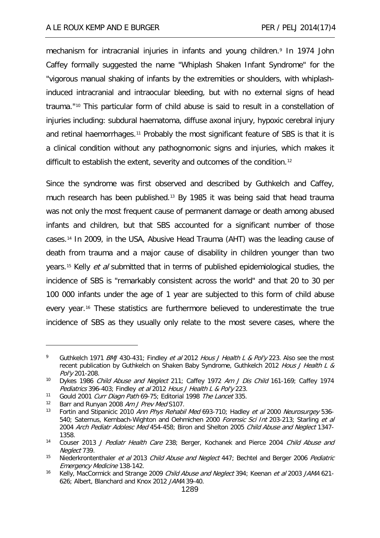mechanism for intracranial injuries in infants and young children.<sup>[9](#page-3-0)</sup> In 1974 John Caffey formally suggested the name "Whiplash Shaken Infant Syndrome" for the "vigorous manual shaking of infants by the extremities or shoulders, with whiplashinduced intracranial and intraocular bleeding, but with no external signs of head trauma."[10](#page-3-1) This particular form of child abuse is said to result in a constellation of injuries including: subdural haematoma, diffuse axonal injury, hypoxic cerebral injury and retinal haemorrhages[.11](#page-3-2) Probably the most significant feature of SBS is that it is a clinical condition without any pathognomonic signs and injuries, which makes it difficult to establish the extent, severity and outcomes of the condition.[12](#page-3-3)

Since the syndrome was first observed and described by Guthkelch and Caffey, much research has been published.[13](#page-3-4) By 1985 it was being said that head trauma was not only the most frequent cause of permanent damage or death among abused infants and children, but that SBS accounted for a significant number of those cases.[14](#page-3-5) In 2009, in the USA, Abusive Head Trauma (AHT) was the leading cause of death from trauma and a major cause of disability in children younger than two years.<sup>[15](#page-3-6)</sup> Kelly *et al* submitted that in terms of published epidemiological studies, the incidence of SBS is "remarkably consistent across the world" and that 20 to 30 per 100 000 infants under the age of 1 year are subjected to this form of child abuse every year.[16](#page-3-7) These statistics are furthermore believed to underestimate the true incidence of SBS as they usually only relate to the most severe cases, where the

<span id="page-3-0"></span><sup>9</sup> Guthkelch 1971 BMJ 430-431; Findley et al 2012 Hous J Health L & Pol'y 223. Also see the most recent publication by Guthkelch on Shaken Baby Syndrome, Guthkelch 2012 Hous J Health L & Pol'y 201-208.

<span id="page-3-1"></span><sup>&</sup>lt;sup>10</sup> Dykes 1986 Child Abuse and Neglect 211; Caffey 1972 Am J Dis Child 161-169; Caffey 1974 Pediatrics 396-403; Findley et al 2012 Hous J Health L & Pol'y 223.

<span id="page-3-2"></span><sup>&</sup>lt;sup>11</sup> Gould 2001 *Curr Diagn Path* 69-75; Editorial 1998 *The Lancet* 335.

<span id="page-3-4"></span><span id="page-3-3"></span><sup>&</sup>lt;sup>12</sup> Barr and Runyan 2008 Am J Prev Med S107.<br><sup>13</sup> Eortin and Stipanicis 2010 Ann Phys Pobabil

Fortin and Stipanicic 2010 Ann Phys Rehabil Med 693-710; Hadley et al 2000 Neurosurgey 536-540; Saternus, Kernbach-Wighton and Oehmichen 2000 Forensic Sci Int 203-213; Starling et al 2004 Arch Pediatr Adolesc Med 454-458; Biron and Shelton 2005 Child Abuse and Neglect 1347-1358.

<span id="page-3-5"></span><sup>&</sup>lt;sup>14</sup> Couser 2013 J Pediatr Health Care 238; Berger, Kochanek and Pierce 2004 Child Abuse and Neglect 739.

<span id="page-3-6"></span><sup>&</sup>lt;sup>15</sup> Niederkrontenthaler et al 2013 Child Abuse and Neglect 447; Bechtel and Berger 2006 Pediatric Emergency Medicine 138-142.

<span id="page-3-7"></span><sup>&</sup>lt;sup>16</sup> Kelly, MacCormick and Strange 2009 Child Abuse and Neglect 394; Keenan et al 2003 JAMA 621-626; Albert, Blanchard and Knox 2012 JAMA 39-40.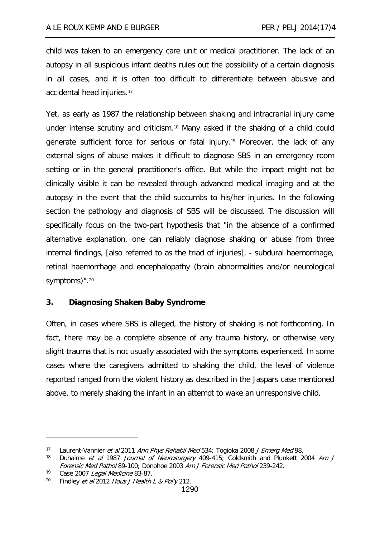child was taken to an emergency care unit or medical practitioner. The lack of an autopsy in all suspicious infant deaths rules out the possibility of a certain diagnosis in all cases, and it is often too difficult to differentiate between abusive and accidental head injuries.[17](#page-4-0)

Yet, as early as 1987 the relationship between shaking and intracranial injury came under intense scrutiny and criticism.[18](#page-4-1) Many asked if the shaking of a child could generate sufficient force for serious or fatal injury.[19](#page-4-2) Moreover, the lack of any external signs of abuse makes it difficult to diagnose SBS in an emergency room setting or in the general practitioner's office. But while the impact might not be clinically visible it can be revealed through advanced medical imaging and at the autopsy in the event that the child succumbs to his/her injuries. In the following section the pathology and diagnosis of SBS will be discussed. The discussion will specifically focus on the two-part hypothesis that "in the absence of a confirmed alternative explanation, one can reliably diagnose shaking or abuse from three internal findings, [also referred to as the triad of injuries], - subdural haemorrhage, retinal haemorrhage and encephalopathy (brain abnormalities and/or neurological symptoms)".<sup>[20](#page-4-3)</sup>

# **3. Diagnosing Shaken Baby Syndrome**

Often, in cases where SBS is alleged, the history of shaking is not forthcoming. In fact, there may be a complete absence of any trauma history, or otherwise very slight trauma that is not usually associated with the symptoms experienced. In some cases where the caregivers admitted to shaking the child, the level of violence reported ranged from the violent history as described in the Jaspars case mentioned above, to merely shaking the infant in an attempt to wake an unresponsive child.

<span id="page-4-0"></span><sup>17</sup> Laurent-Vannier *et al* 2011 Ann Phys Rehabil Med 534; Togioka 2008 J Emerg Med 98.<br>18 Dubaime *et al 1987, Journal of Neurosurgery 1*09-415: Goldsmith and Plunkett 2

<span id="page-4-1"></span>Duhaime et al 1987 Journal of Neurosurgery 409-415; Goldsmith and Plunkett 2004 Am J Forensic Med Pathol 89-100; Donohoe 2003 Am J Forensic Med Pathol 239-242.

<span id="page-4-3"></span><span id="page-4-2"></span><sup>&</sup>lt;sup>19</sup> Case 2007 Legal Medicine 83-87.<br><sup>20</sup> Findley et al 2012 Hous I Health.

Findley et al 2012 Hous J Health L & Pol'y 212.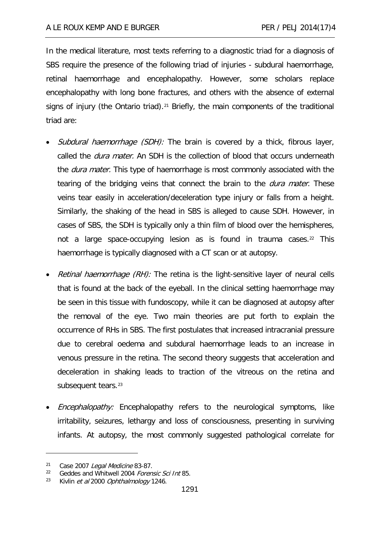In the medical literature, most texts referring to a diagnostic triad for a diagnosis of SBS require the presence of the following triad of injuries - subdural haemorrhage, retinal haemorrhage and encephalopathy. However, some scholars replace encephalopathy with long bone fractures, and others with the absence of external signs of injury (the Ontario triad).<sup>[21](#page-5-0)</sup> Briefly, the main components of the traditional triad are:

- Subdural haemorrhage (SDH): The brain is covered by a thick, fibrous layer, called the *dura mater*. An SDH is the collection of blood that occurs underneath the *dura mater*. This type of haemorrhage is most commonly associated with the tearing of the bridging veins that connect the brain to the *dura mater*. These veins tear easily in acceleration/deceleration type injury or falls from a height. Similarly, the shaking of the head in SBS is alleged to cause SDH. However, in cases of SBS, the SDH is typically only a thin film of blood over the hemispheres, not a large space-occupying lesion as is found in trauma cases. $22$  This haemorrhage is typically diagnosed with a CT scan or at autopsy.
- *Retinal haemorrhage (RH):* The retina is the light-sensitive layer of neural cells that is found at the back of the eyeball. In the clinical setting haemorrhage may be seen in this tissue with fundoscopy, while it can be diagnosed at autopsy after the removal of the eye. Two main theories are put forth to explain the occurrence of RHs in SBS. The first postulates that increased intracranial pressure due to cerebral oedema and subdural haemorrhage leads to an increase in venous pressure in the retina. The second theory suggests that acceleration and deceleration in shaking leads to traction of the vitreous on the retina and subsequent tears.<sup>[23](#page-5-2)</sup>
- *Encephalopathy:* Encephalopathy refers to the neurological symptoms, like irritability, seizures, lethargy and loss of consciousness, presenting in surviving infants. At autopsy, the most commonly suggested pathological correlate for

<span id="page-5-0"></span><sup>&</sup>lt;sup>21</sup> Case 2007 Legal Medicine 83-87.

<span id="page-5-1"></span>Geddes and Whitwell 2004 Forensic Sci Int 85.

<span id="page-5-2"></span><sup>&</sup>lt;sup>23</sup> Kivlin *et al* 2000 Ophthalmology 1246.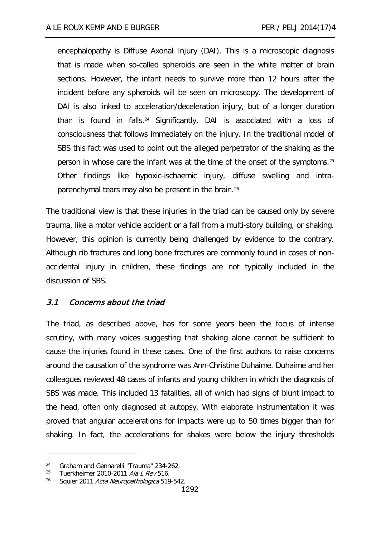encephalopathy is Diffuse Axonal Injury (DAI). This is a microscopic diagnosis that is made when so-called spheroids are seen in the white matter of brain sections. However, the infant needs to survive more than 12 hours after the incident before any spheroids will be seen on microscopy. The development of DAI is also linked to acceleration/deceleration injury, but of a longer duration than is found in falls.[24](#page-6-0) Significantly, DAI is associated with a loss of consciousness that follows immediately on the injury. In the traditional model of SBS this fact was used to point out the alleged perpetrator of the shaking as the person in whose care the infant was at the time of the onset of the symptoms.[25](#page-6-1) Other findings like hypoxic-ischaemic injury, diffuse swelling and intraparenchymal tears may also be present in the brain.[26](#page-6-2)

The traditional view is that these injuries in the triad can be caused only by severe trauma, like a motor vehicle accident or a fall from a multi-story building, or shaking. However, this opinion is currently being challenged by evidence to the contrary. Although rib fractures and long bone fractures are commonly found in cases of nonaccidental injury in children, these findings are not typically included in the discussion of SBS.

#### 3.1 Concerns about the triad

The triad, as described above, has for some years been the focus of intense scrutiny, with many voices suggesting that shaking alone cannot be sufficient to cause the injuries found in these cases. One of the first authors to raise concerns around the causation of the syndrome was Ann-Christine Duhaime. Duhaime and her colleagues reviewed 48 cases of infants and young children in which the diagnosis of SBS was made. This included 13 fatalities, all of which had signs of blunt impact to the head, often only diagnosed at autopsy. With elaborate instrumentation it was proved that angular accelerations for impacts were up to 50 times bigger than for shaking. In fact, the accelerations for shakes were below the injury thresholds

<span id="page-6-0"></span><sup>&</sup>lt;sup>24</sup> Graham and Gennarelli "Trauma" 234-262.

<span id="page-6-1"></span><sup>&</sup>lt;sup>25</sup> Tuerkheimer 2010-2011 Ala L Rev 516.

<span id="page-6-2"></span><sup>&</sup>lt;sup>26</sup> Squier 2011 Acta Neuropathologica 519-542.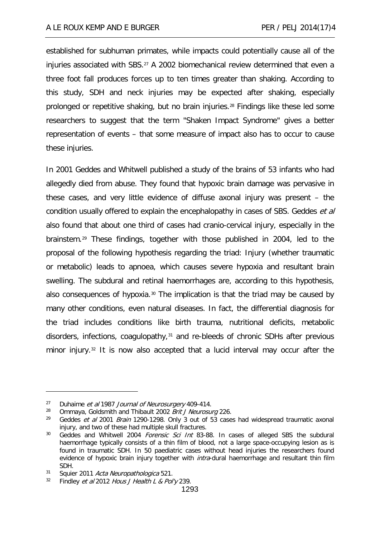established for subhuman primates, while impacts could potentially cause all of the injuries associated with SBS[.27](#page-7-0) A 2002 biomechanical review determined that even a three foot fall produces forces up to ten times greater than shaking. According to this study, SDH and neck injuries may be expected after shaking, especially prolonged or repetitive shaking, but no brain injuries.[28](#page-7-1) Findings like these led some researchers to suggest that the term "Shaken Impact Syndrome" gives a better representation of events – that some measure of impact also has to occur to cause these injuries.

In 2001 Geddes and Whitwell published a study of the brains of 53 infants who had allegedly died from abuse. They found that hypoxic brain damage was pervasive in these cases, and very little evidence of diffuse axonal injury was present – the condition usually offered to explain the encephalopathy in cases of SBS. Geddes et al also found that about one third of cases had cranio-cervical injury, especially in the brainstem.[29](#page-7-2) These findings, together with those published in 2004, led to the proposal of the following hypothesis regarding the triad: Injury (whether traumatic or metabolic) leads to apnoea, which causes severe hypoxia and resultant brain swelling. The subdural and retinal haemorrhages are, according to this hypothesis, also consequences of hypoxia.<sup>[30](#page-7-3)</sup> The implication is that the triad may be caused by many other conditions, even natural diseases. In fact, the differential diagnosis for the triad includes conditions like birth trauma, nutritional deficits, metabolic disorders, infections, coagulopathy,<sup>[31](#page-7-4)</sup> and re-bleeds of chronic SDHs after previous minor injury.[32](#page-7-5) It is now also accepted that a lucid interval may occur after the

<span id="page-7-0"></span><sup>&</sup>lt;sup>27</sup> Duhaime *et al* 1987 *Journal of Neurosurgery* 409-414.

<span id="page-7-2"></span><span id="page-7-1"></span><sup>&</sup>lt;sup>28</sup> Ommaya, Goldsmith and Thibault 2002 *Brit J Neurosurg* 226.<br><sup>29</sup> Coddes et al. 2001, *Prain* 1200, 1208, Only 2 out of 52, case

Geddes et al 2001 Brain 1290-1298. Only 3 out of 53 cases had widespread traumatic axonal injury, and two of these had multiple skull fractures.

<span id="page-7-3"></span><sup>&</sup>lt;sup>30</sup> Geddes and Whitwell 2004 Forensic Sci Int 83-88. In cases of alleged SBS the subdural haemorrhage typically consists of a thin film of blood, not a large space-occupying lesion as is found in traumatic SDH. In 50 paediatric cases without head injuries the researchers found evidence of hypoxic brain injury together with *intra*-dural haemorrhage and resultant thin film SDH.

<span id="page-7-5"></span><span id="page-7-4"></span> $31$  Squier 2011 *Acta Neuropathologica* 521.<br> $32$  Eindley *et al* 2012 *Hous I Health L. & Pol* 

Findley et al 2012 Hous J Health L & Pol'y 239.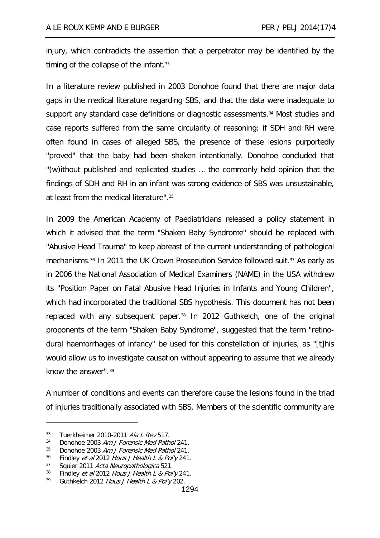injury, which contradicts the assertion that a perpetrator may be identified by the timing of the collapse of the infant.<sup>[33](#page-8-0)</sup>

In a literature review published in 2003 Donohoe found that there are major data gaps in the medical literature regarding SBS, and that the data were inadequate to support any standard case definitions or diagnostic assessments.[34](#page-8-1) Most studies and case reports suffered from the same circularity of reasoning: if SDH and RH were often found in cases of alleged SBS, the presence of these lesions purportedly "proved" that the baby had been shaken intentionally. Donohoe concluded that "(w)ithout published and replicated studies … the commonly held opinion that the findings of SDH and RH in an infant was strong evidence of SBS was unsustainable, at least from the medical literature".[35](#page-8-2)

In 2009 the American Academy of Paediatricians released a policy statement in which it advised that the term "Shaken Baby Syndrome" should be replaced with "Abusive Head Trauma" to keep abreast of the current understanding of pathological mechanisms.[36](#page-8-3) In 2011 the UK Crown Prosecution Service followed suit.[37](#page-8-4) As early as in 2006 the National Association of Medical Examiners (NAME) in the USA withdrew its "Position Paper on Fatal Abusive Head Injuries in Infants and Young Children", which had incorporated the traditional SBS hypothesis. This document has not been replaced with any subsequent paper.<sup>[38](#page-8-5)</sup> In 2012 Guthkelch, one of the original proponents of the term "Shaken Baby Syndrome", suggested that the term "retinodural haemorrhages of infancy" be used for this constellation of injuries, as "[t]his would allow us to investigate causation without appearing to assume that we already know the answer".[39](#page-8-6)

A number of conditions and events can therefore cause the lesions found in the triad of injuries traditionally associated with SBS. Members of the scientific community are

<span id="page-8-0"></span> $33$  Tuerkheimer 2010-2011 Ala L Rev 517.<br> $34$  Dopoboe 2003 Am L Forensic Med Path

<span id="page-8-1"></span>Donohoe 2003 Am J Forensic Med Pathol 241.

<span id="page-8-2"></span><sup>&</sup>lt;sup>35</sup> Donohoe 2003 Am J Forensic Med Pathol 241.

<span id="page-8-3"></span><sup>&</sup>lt;sup>36</sup> Findley *et al* 2012 Hous J Health L & Pol'y 241.

<span id="page-8-4"></span> $37$  Squier 2011 Acta Neuropathologica 521.<br> $38$  Eindley et al. 2012 Hous LHealth L. & Pol.

<span id="page-8-6"></span><span id="page-8-5"></span> $^{38}$  Findley *et al* 2012 Hous J Health L & Pol'y 241.<br> $^{39}$  Guthkelch 2012 Hous J Health L & Pol'y 202 Guthkelch 2012 Hous J Health L & Pol'y 202.

<sup>1294</sup>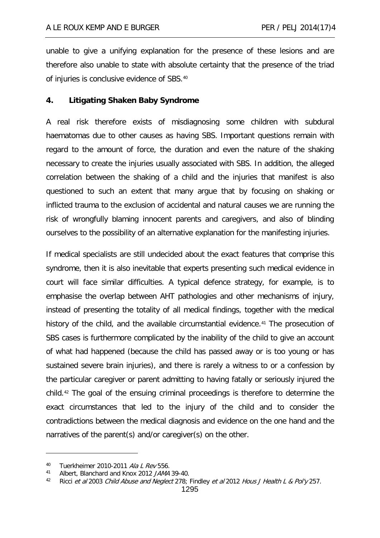unable to give a unifying explanation for the presence of these lesions and are therefore also unable to state with absolute certainty that the presence of the triad of injuries is conclusive evidence of SBS.[40](#page-9-0)

# **4. Litigating Shaken Baby Syndrome**

A real risk therefore exists of misdiagnosing some children with subdural haematomas due to other causes as having SBS. Important questions remain with regard to the amount of force, the duration and even the nature of the shaking necessary to create the injuries usually associated with SBS. In addition, the alleged correlation between the shaking of a child and the injuries that manifest is also questioned to such an extent that many argue that by focusing on shaking or inflicted trauma to the exclusion of accidental and natural causes we are running the risk of wrongfully blaming innocent parents and caregivers, and also of blinding ourselves to the possibility of an alternative explanation for the manifesting injuries.

If medical specialists are still undecided about the exact features that comprise this syndrome, then it is also inevitable that experts presenting such medical evidence in court will face similar difficulties. A typical defence strategy, for example, is to emphasise the overlap between AHT pathologies and other mechanisms of injury, instead of presenting the totality of all medical findings, together with the medical history of the child, and the available circumstantial evidence.<sup>[41](#page-9-1)</sup> The prosecution of SBS cases is furthermore complicated by the inability of the child to give an account of what had happened (because the child has passed away or is too young or has sustained severe brain injuries), and there is rarely a witness to or a confession by the particular caregiver or parent admitting to having fatally or seriously injured the child.[42](#page-9-2) The goal of the ensuing criminal proceedings is therefore to determine the exact circumstances that led to the injury of the child and to consider the contradictions between the medical diagnosis and evidence on the one hand and the narratives of the parent(s) and/or caregiver(s) on the other.

<span id="page-9-0"></span><sup>40</sup> Tuerkheimer 2010-2011 Ala L Rev 556.

<span id="page-9-1"></span><sup>41</sup> Albert, Blanchard and Knox 2012 JAMA 39-40.

<span id="page-9-2"></span><sup>&</sup>lt;sup>42</sup> Ricci et al 2003 Child Abuse and Neglect 278; Findley et al 2012 Hous J Health L & Pol'y 257.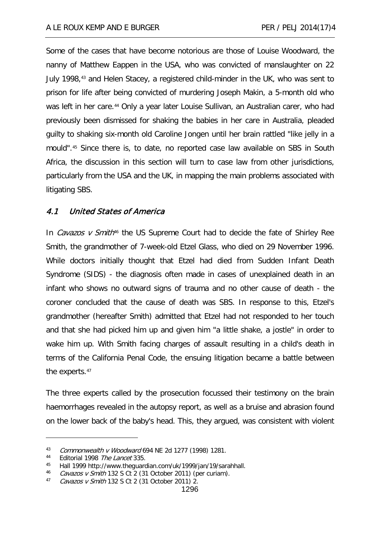Some of the cases that have become notorious are those of Louise Woodward, the nanny of Matthew Eappen in the USA, who was convicted of manslaughter on 22 July 1998,[43](#page-10-0) and Helen Stacey, a registered child-minder in the UK, who was sent to prison for life after being convicted of murdering Joseph Makin, a 5-month old who was left in her care.<sup>[44](#page-10-1)</sup> Only a year later Louise Sullivan, an Australian carer, who had previously been dismissed for shaking the babies in her care in Australia, pleaded guilty to shaking six-month old Caroline Jongen until her brain rattled "like jelly in a mould".[45](#page-10-2) Since there is, to date, no reported case law available on SBS in South Africa, the discussion in this section will turn to case law from other jurisdictions, particularly from the USA and the UK, in mapping the main problems associated with litigating SBS.

# 4.1 United States of America

In *Cavazos v Smith*<sup>[46](#page-10-3)</sup> the US Supreme Court had to decide the fate of Shirley Ree Smith, the grandmother of 7-week-old Etzel Glass, who died on 29 November 1996. While doctors initially thought that Etzel had died from Sudden Infant Death Syndrome (SIDS) - the diagnosis often made in cases of unexplained death in an infant who shows no outward signs of trauma and no other cause of death - the coroner concluded that the cause of death was SBS. In response to this, Etzel's grandmother (hereafter Smith) admitted that Etzel had not responded to her touch and that she had picked him up and given him "a little shake, a jostle" in order to wake him up. With Smith facing charges of assault resulting in a child's death in terms of the California Penal Code, the ensuing litigation became a battle between the experts.[47](#page-10-4)

The three experts called by the prosecution focussed their testimony on the brain haemorrhages revealed in the autopsy report, as well as a bruise and abrasion found on the lower back of the baby's head. This, they argued, was consistent with violent

<span id="page-10-0"></span><sup>43</sup> Commonwealth v Woodward 694 NE 2d 1277 (1998) 1281.

<span id="page-10-1"></span><sup>44</sup> Editorial 1998 The Lancet 335.

<span id="page-10-2"></span><sup>45</sup> Hall 1999 http://www.theguardian.com/uk/1999/jan/19/sarahhall.

<span id="page-10-3"></span><sup>&</sup>lt;sup>46</sup> Cavazos v Smith 132 S Ct 2 (31 October 2011) (per curiam).

<span id="page-10-4"></span> $47$  Cavazos v Smith 132 S Ct 2 (31 October 2011) 2.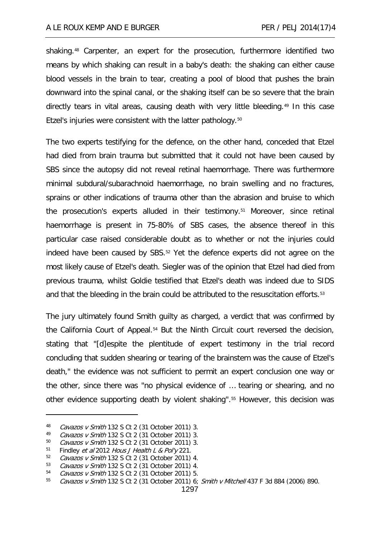shaking.[48](#page-11-0) Carpenter, an expert for the prosecution, furthermore identified two means by which shaking can result in a baby's death: the shaking can either cause blood vessels in the brain to tear, creating a pool of blood that pushes the brain downward into the spinal canal, or the shaking itself can be so severe that the brain directly tears in vital areas, causing death with very little bleeding.<sup>[49](#page-11-1)</sup> In this case Etzel's injuries were consistent with the latter pathology.<sup>[50](#page-11-2)</sup>

The two experts testifying for the defence, on the other hand, conceded that Etzel had died from brain trauma but submitted that it could not have been caused by SBS since the autopsy did not reveal retinal haemorrhage. There was furthermore minimal subdural/subarachnoid haemorrhage, no brain swelling and no fractures, sprains or other indications of trauma other than the abrasion and bruise to which the prosecution's experts alluded in their testimony.[51](#page-11-3) Moreover, since retinal haemorrhage is present in 75-80% of SBS cases, the absence thereof in this particular case raised considerable doubt as to whether or not the injuries could indeed have been caused by SBS.[52](#page-11-4) Yet the defence experts did not agree on the most likely cause of Etzel's death. Siegler was of the opinion that Etzel had died from previous trauma, whilst Goldie testified that Etzel's death was indeed due to SIDS and that the bleeding in the brain could be attributed to the resuscitation efforts.<sup>[53](#page-11-5)</sup>

The jury ultimately found Smith guilty as charged, a verdict that was confirmed by the California Court of Appeal.[54](#page-11-6) But the Ninth Circuit court reversed the decision, stating that "[d]espite the plentitude of expert testimony in the trial record concluding that sudden shearing or tearing of the brainstem was the cause of Etzel's death," the evidence was not sufficient to permit an expert conclusion one way or the other, since there was "no physical evidence of … tearing or shearing, and no other evidence supporting death by violent shaking".[55](#page-11-7) However, this decision was

<span id="page-11-0"></span><sup>48</sup> Cavazos v Smith 132 S Ct 2 (31 October 2011) 3.

<span id="page-11-1"></span><sup>49</sup> Cavazos v Smith 132 S Ct 2 (31 October 2011) 3.<br> $50$  Cavazos v Smith 132 S Ct 2 (31 October 2011) 3

Cavazos v Smith 132 S Ct 2 (31 October 2011) 3.

<span id="page-11-3"></span><span id="page-11-2"></span><sup>&</sup>lt;sup>51</sup> Findley *et al* 2012 Hous J Health L & Pol'y 221.

<span id="page-11-4"></span> $52$  Cavazos v Smith 132 S Ct 2 (31 October 2011) 4.<br> $53$  Cavazos v Smith 132 S Ct 2 (31 October 2011) 4

<span id="page-11-5"></span>Cavazos v Smith 132 S Ct 2 (31 October 2011) 4.

<span id="page-11-6"></span><sup>54</sup> Cavazos v Smith 132 S Ct 2 (31 October 2011) 5.

<span id="page-11-7"></span> $55$  Cavazos v Smith 132 S Ct 2 (31 October 2011) 6; Smith v Mitchell 437 F 3d 884 (2006) 890.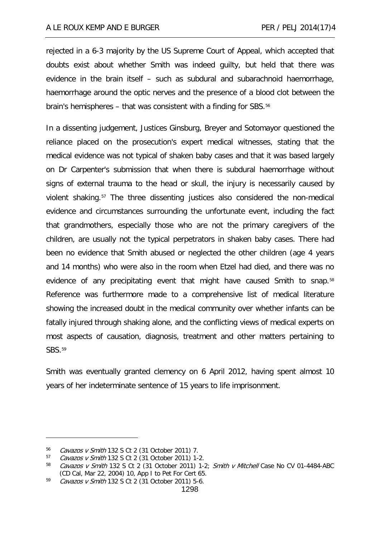rejected in a 6-3 majority by the US Supreme Court of Appeal, which accepted that doubts exist about whether Smith was indeed guilty, but held that there was evidence in the brain itself – such as subdural and subarachnoid haemorrhage, haemorrhage around the optic nerves and the presence of a blood clot between the brain's hemispheres – that was consistent with a finding for SBS.<sup>[56](#page-12-0)</sup>

In a dissenting judgement, Justices Ginsburg, Breyer and Sotomayor questioned the reliance placed on the prosecution's expert medical witnesses, stating that the medical evidence was not typical of shaken baby cases and that it was based largely on Dr Carpenter's submission that when there is subdural haemorrhage without signs of external trauma to the head or skull, the injury is necessarily caused by violent shaking.[57](#page-12-1) The three dissenting justices also considered the non-medical evidence and circumstances surrounding the unfortunate event, including the fact that grandmothers, especially those who are not the primary caregivers of the children, are usually not the typical perpetrators in shaken baby cases. There had been no evidence that Smith abused or neglected the other children (age 4 years and 14 months) who were also in the room when Etzel had died, and there was no evidence of any precipitating event that might have caused Smith to snap.[58](#page-12-2) Reference was furthermore made to a comprehensive list of medical literature showing the increased doubt in the medical community over whether infants can be fatally injured through shaking alone, and the conflicting views of medical experts on most aspects of causation, diagnosis, treatment and other matters pertaining to SBS.[59](#page-12-3)

Smith was eventually granted clemency on 6 April 2012, having spent almost 10 years of her indeterminate sentence of 15 years to life imprisonment.

<span id="page-12-0"></span><sup>56</sup> Cavazos v Smith 132 S Ct 2 (31 October 2011) 7.

<span id="page-12-1"></span><sup>57</sup> Cavazos v Smith 132 S Ct 2 (31 October 2011) 1-2.

<span id="page-12-2"></span> $58$  Cavazos v Smith 132 S Ct 2 (31 October 2011) 1-2; Smith v Mitchell Case No CV 01-4484-ABC (CD Cal, Mar 22, 2004) 10, App I to Pet For Cert 65.

<span id="page-12-3"></span><sup>59</sup> Cavazos v Smith 132 S Ct 2 (31 October 2011) 5-6.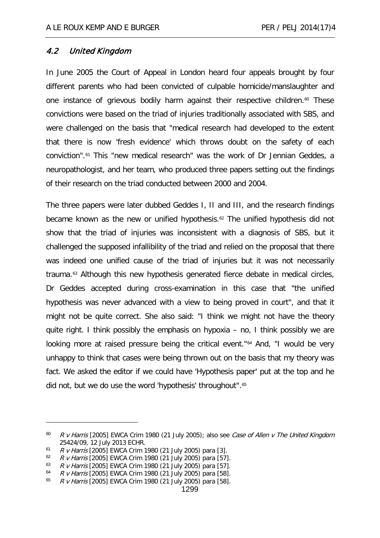# 4.2 United Kingdom

In June 2005 the Court of Appeal in London heard four appeals brought by four different parents who had been convicted of culpable homicide/manslaughter and one instance of grievous bodily harm against their respective children.<sup>[60](#page-13-0)</sup> These convictions were based on the triad of injuries traditionally associated with SBS, and were challenged on the basis that "medical research had developed to the extent that there is now 'fresh evidence' which throws doubt on the safety of each conviction".[61](#page-13-1) This "new medical research" was the work of Dr Jennian Geddes, a neuropathologist, and her team, who produced three papers setting out the findings of their research on the triad conducted between 2000 and 2004.

The three papers were later dubbed Geddes I, II and III, and the research findings became known as the new or unified hypothesis.[62](#page-13-2) The unified hypothesis did not show that the triad of injuries was inconsistent with a diagnosis of SBS, but it challenged the supposed infallibility of the triad and relied on the proposal that there was indeed one unified cause of the triad of injuries but it was not necessarily trauma.[63](#page-13-3) Although this new hypothesis generated fierce debate in medical circles, Dr Geddes accepted during cross-examination in this case that "the unified hypothesis was never advanced with a view to being proved in court", and that it might not be quite correct. She also said: "I think we might not have the theory quite right. I think possibly the emphasis on hypoxia – no, I think possibly we are looking more at raised pressure being the critical event."<sup>[64](#page-13-4)</sup> And, "I would be very unhappy to think that cases were being thrown out on the basis that my theory was fact. We asked the editor if we could have 'Hypothesis paper' put at the top and he did not, but we do use the word 'hypothesis' throughout".[65](#page-13-5)

<span id="page-13-0"></span> $60$  R v Harris [2005] EWCA Crim 1980 (21 July 2005); also see Case of Allen v The United Kingdom 25424/09, 12 July 2013 ECHR.

<span id="page-13-1"></span> $61$  R v Harris [2005] EWCA Crim 1980 (21 July 2005) para [3].

<span id="page-13-3"></span><span id="page-13-2"></span> $62$  R v Harris [2005] EWCA Crim 1980 (21 July 2005) para [57].

<sup>63</sup> R v Harris [2005] EWCA Crim 1980 (21 July 2005) para [57].

<span id="page-13-4"></span> $64$  R v Harris [2005] EWCA Crim 1980 (21 July 2005) para [58].

<span id="page-13-5"></span> $65$  R v Harris [2005] EWCA Crim 1980 (21 July 2005) para [58].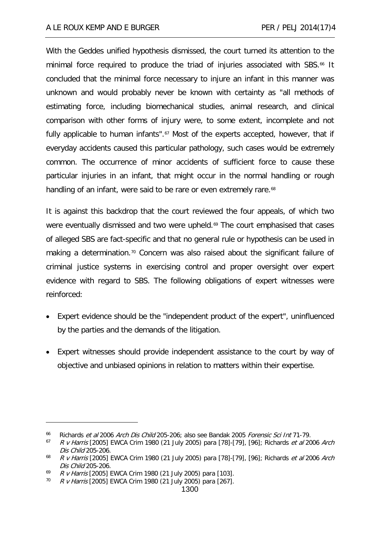With the Geddes unified hypothesis dismissed, the court turned its attention to the minimal force required to produce the triad of injuries associated with SBS.<sup>[66](#page-14-0)</sup> It concluded that the minimal force necessary to injure an infant in this manner was unknown and would probably never be known with certainty as "all methods of estimating force, including biomechanical studies, animal research, and clinical comparison with other forms of injury were, to some extent, incomplete and not fully applicable to human infants".<sup>[67](#page-14-1)</sup> Most of the experts accepted, however, that if everyday accidents caused this particular pathology, such cases would be extremely common. The occurrence of minor accidents of sufficient force to cause these particular injuries in an infant, that might occur in the normal handling or rough handling of an infant, were said to be rare or even extremely rare.<sup>[68](#page-14-2)</sup>

It is against this backdrop that the court reviewed the four appeals, of which two were eventually dismissed and two were upheld.<sup>[69](#page-14-3)</sup> The court emphasised that cases of alleged SBS are fact-specific and that no general rule or hypothesis can be used in making a determination.<sup>[70](#page-14-4)</sup> Concern was also raised about the significant failure of criminal justice systems in exercising control and proper oversight over expert evidence with regard to SBS. The following obligations of expert witnesses were reinforced:

- Expert evidence should be the "independent product of the expert", uninfluenced by the parties and the demands of the litigation.
- Expert witnesses should provide independent assistance to the court by way of objective and unbiased opinions in relation to matters within their expertise.

<span id="page-14-0"></span><sup>&</sup>lt;sup>66</sup> Richards et al 2006 Arch Dis Child 205-206; also see Bandak 2005 Forensic Sci Int 71-79.

<span id="page-14-1"></span> $67$  R v Harris [2005] EWCA Crim 1980 (21 July 2005) para [78]-[79], [96]; Richards et al 2006 Arch Dis Child 205-206.

<span id="page-14-2"></span><sup>&</sup>lt;sup>68</sup> R v Harris [2005] EWCA Crim 1980 (21 July 2005) para [78]-[79], [96]; Richards et al 2006 Arch Dis Child 205-206.

<span id="page-14-3"></span> $69$  R v Harris [2005] EWCA Crim 1980 (21 July 2005) para [103].

<span id="page-14-4"></span> $70$  R v Harris [2005] EWCA Crim 1980 (21 July 2005) para [267].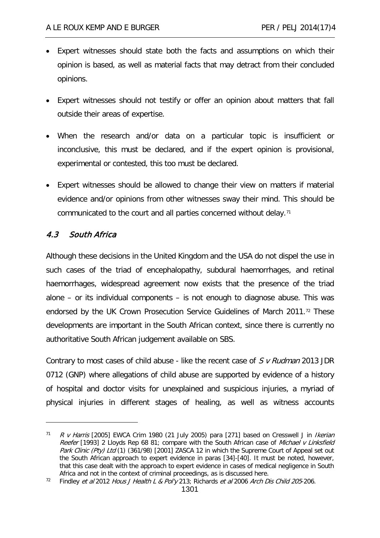- Expert witnesses should state both the facts and assumptions on which their opinion is based, as well as material facts that may detract from their concluded opinions.
- Expert witnesses should not testify or offer an opinion about matters that fall outside their areas of expertise.
- When the research and/or data on a particular topic is insufficient or inconclusive, this must be declared, and if the expert opinion is provisional, experimental or contested, this too must be declared.
- Expert witnesses should be allowed to change their view on matters if material evidence and/or opinions from other witnesses sway their mind. This should be communicated to the court and all parties concerned without delay.<sup>[71](#page-15-0)</sup>

# 4.3 South Africa

-

Although these decisions in the United Kingdom and the USA do not dispel the use in such cases of the triad of encephalopathy, subdural haemorrhages, and retinal haemorrhages, widespread agreement now exists that the presence of the triad alone – or its individual components – is not enough to diagnose abuse. This was endorsed by the UK Crown Prosecution Service Guidelines of March 2011.[72](#page-15-1) These developments are important in the South African context, since there is currently no authoritative South African judgement available on SBS.

Contrary to most cases of child abuse - like the recent case of  $S$  v Rudman 2013 JDR 0712 (GNP) where allegations of child abuse are supported by evidence of a history of hospital and doctor visits for unexplained and suspicious injuries, a myriad of physical injuries in different stages of healing, as well as witness accounts

<span id="page-15-0"></span> $71$  R v Harris [2005] EWCA Crim 1980 (21 July 2005) para [271] based on Cresswell J in Ikerian Reefer [1993] 2 Lloyds Rep 68 81; compare with the South African case of Michael v Linksfield Park Clinic (Pty) Ltd (1) (361/98) [2001] ZASCA 12 in which the Supreme Court of Appeal set out the South African approach to expert evidence in paras [34]-[40]. It must be noted, however, that this case dealt with the approach to expert evidence in cases of medical negligence in South Africa and not in the context of criminal proceedings, as is discussed here.

<span id="page-15-1"></span><sup>&</sup>lt;sup>72</sup> Findley et al 2012 Hous J Health L & Pol'y 213; Richards et al 2006 Arch Dis Child 205-206.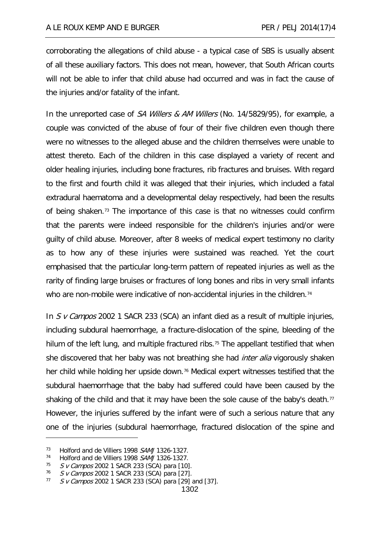corroborating the allegations of child abuse - a typical case of SBS is usually absent of all these auxiliary factors. This does not mean, however, that South African courts will not be able to infer that child abuse had occurred and was in fact the cause of the injuries and/or fatality of the infant.

In the unreported case of SA Willers & AM Willers (No. 14/5829/95), for example, a couple was convicted of the abuse of four of their five children even though there were no witnesses to the alleged abuse and the children themselves were unable to attest thereto. Each of the children in this case displayed a variety of recent and older healing injuries, including bone fractures, rib fractures and bruises. With regard to the first and fourth child it was alleged that their injuries, which included a fatal extradural haematoma and a developmental delay respectively, had been the results of being shaken.<sup>[73](#page-16-0)</sup> The importance of this case is that no witnesses could confirm that the parents were indeed responsible for the children's injuries and/or were guilty of child abuse. Moreover, after 8 weeks of medical expert testimony no clarity as to how any of these injuries were sustained was reached. Yet the court emphasised that the particular long-term pattern of repeated injuries as well as the rarity of finding large bruises or fractures of long bones and ribs in very small infants who are non-mobile were indicative of non-accidental injuries in the children.<sup>[74](#page-16-1)</sup>

In S v Campos 2002 1 SACR 233 (SCA) an infant died as a result of multiple injuries, including subdural haemorrhage, a fracture-dislocation of the spine, bleeding of the hilum of the left lung, and multiple fractured ribs.<sup>[75](#page-16-2)</sup> The appellant testified that when she discovered that her baby was not breathing she had *inter alia* vigorously shaken her child while holding her upside down.<sup>[76](#page-16-3)</sup> Medical expert witnesses testified that the subdural haemorrhage that the baby had suffered could have been caused by the shaking of the child and that it may have been the sole cause of the baby's death.<sup>[77](#page-16-4)</sup> However, the injuries suffered by the infant were of such a serious nature that any one of the injuries (subdural haemorrhage, fractured dislocation of the spine and

<span id="page-16-0"></span><sup>&</sup>lt;sup>73</sup> Holford and de Villiers 1998 SAMJ 1326-1327.

<span id="page-16-1"></span><sup>&</sup>lt;sup>74</sup> Holford and de Villiers 1998 SAMJ 1326-1327.

<span id="page-16-2"></span> $75$  S v Campos 2002 1 SACR 233 (SCA) para [10].

<span id="page-16-3"></span> $^{76}$  S v Campos 2002 1 SACR 233 (SCA) para [27].<br> $^{77}$  S v Campos 2002 1 SACR 233 (SCA) para [29]

<span id="page-16-4"></span>S v Campos 2002 1 SACR 233 (SCA) para [29] and [37].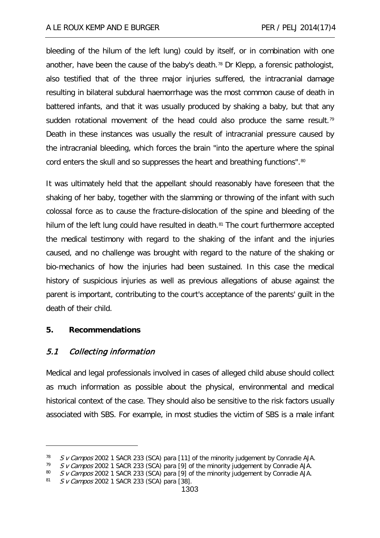bleeding of the hilum of the left lung) could by itself, or in combination with one another, have been the cause of the baby's death.<sup>[78](#page-17-0)</sup> Dr Klepp, a forensic pathologist, also testified that of the three major injuries suffered, the intracranial damage resulting in bilateral subdural haemorrhage was the most common cause of death in battered infants, and that it was usually produced by shaking a baby, but that any sudden rotational movement of the head could also produce the same result.<sup>[79](#page-17-1)</sup> Death in these instances was usually the result of intracranial pressure caused by the intracranial bleeding, which forces the brain "into the aperture where the spinal cord enters the skull and so suppresses the heart and breathing functions".<sup>[80](#page-17-2)</sup>

It was ultimately held that the appellant should reasonably have foreseen that the shaking of her baby, together with the slamming or throwing of the infant with such colossal force as to cause the fracture-dislocation of the spine and bleeding of the hilum of the left lung could have resulted in death.<sup>[81](#page-17-3)</sup> The court furthermore accepted the medical testimony with regard to the shaking of the infant and the injuries caused, and no challenge was brought with regard to the nature of the shaking or bio-mechanics of how the injuries had been sustained. In this case the medical history of suspicious injuries as well as previous allegations of abuse against the parent is important, contributing to the court's acceptance of the parents' guilt in the death of their child.

# **5. Recommendations**

-

# 5.1 Collecting information

Medical and legal professionals involved in cases of alleged child abuse should collect as much information as possible about the physical, environmental and medical historical context of the case. They should also be sensitive to the risk factors usually associated with SBS. For example, in most studies the victim of SBS is a male infant

<span id="page-17-0"></span><sup>&</sup>lt;sup>78</sup> S v Campos 2002 1 SACR 233 (SCA) para [11] of the minority judgement by Conradie AJA.<br><sup>79</sup> S v Campos 2002 1 SACR 233 (SCA) para [9] of the minority judgement by Conradio AJA.

<span id="page-17-1"></span> $79$  S v Campos 2002 1 SACR 233 (SCA) para [9] of the minority judgement by Conradie AJA.<br> $80$  S v Campos 2002 1 SACR 233 (SCA) para [9] of the minority judgement by Conradie AJA.

<span id="page-17-3"></span><span id="page-17-2"></span><sup>80</sup> S v Campos 2002 1 SACR 233 (SCA) para [9] of the minority judgement by Conradie AJA.<br>81 S v Campos 2002 1 SACR 233 (SCA) para [38]

S v Campos 2002 1 SACR 233 (SCA) para [38].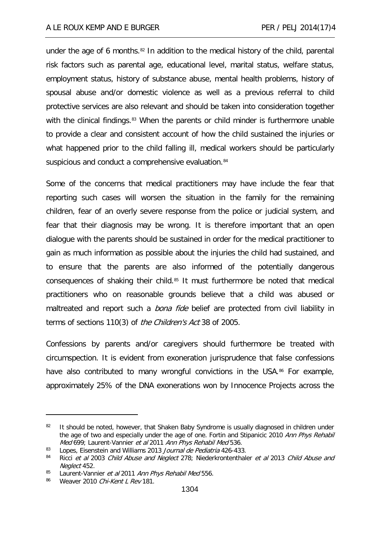under the age of 6 months.<sup>[82](#page-18-0)</sup> In addition to the medical history of the child, parental risk factors such as parental age, educational level, marital status, welfare status, employment status, history of substance abuse, mental health problems, history of spousal abuse and/or domestic violence as well as a previous referral to child protective services are also relevant and should be taken into consideration together with the clinical findings.<sup>[83](#page-18-1)</sup> When the parents or child minder is furthermore unable to provide a clear and consistent account of how the child sustained the injuries or what happened prior to the child falling ill, medical workers should be particularly suspicious and conduct a comprehensive evaluation.<sup>[84](#page-18-2)</sup>

Some of the concerns that medical practitioners may have include the fear that reporting such cases will worsen the situation in the family for the remaining children, fear of an overly severe response from the police or judicial system, and fear that their diagnosis may be wrong. It is therefore important that an open dialogue with the parents should be sustained in order for the medical practitioner to gain as much information as possible about the injuries the child had sustained, and to ensure that the parents are also informed of the potentially dangerous consequences of shaking their child.[85](#page-18-3) It must furthermore be noted that medical practitioners who on reasonable grounds believe that a child was abused or maltreated and report such a *bona fide* belief are protected from civil liability in terms of sections 110(3) of *the Children's Act* 38 of 2005.

Confessions by parents and/or caregivers should furthermore be treated with circumspection. It is evident from exoneration jurisprudence that false confessions have also contributed to many wrongful convictions in the USA.<sup>[86](#page-18-4)</sup> For example, approximately 25% of the DNA exonerations won by Innocence Projects across the

<span id="page-18-0"></span><sup>&</sup>lt;sup>82</sup> It should be noted, however, that Shaken Baby Syndrome is usually diagnosed in children under the age of two and especially under the age of one. Fortin and Stipanicic 2010 Ann Phys Rehabil Med 699; Laurent-Vannier et al 2011 Ann Phys Rehabil Med 536.

<span id="page-18-1"></span><sup>83</sup> Lopes, Eisenstein and Williams 2013 Journal de Pediatria 426-433.

<span id="page-18-2"></span><sup>84</sup> Ricci et al 2003 Child Abuse and Neglect 278; Niederkrontenthaler et al 2013 Child Abuse and Neglect 452.

<span id="page-18-4"></span><span id="page-18-3"></span><sup>&</sup>lt;sup>85</sup> Laurent-Vannier *et al* 2011 Ann Phys Rehabil Med 556.<br><sup>86</sup> Weaver 2010 Chi-Kent L Rev 181

Weaver 2010 Chi-Kent L Rev 181.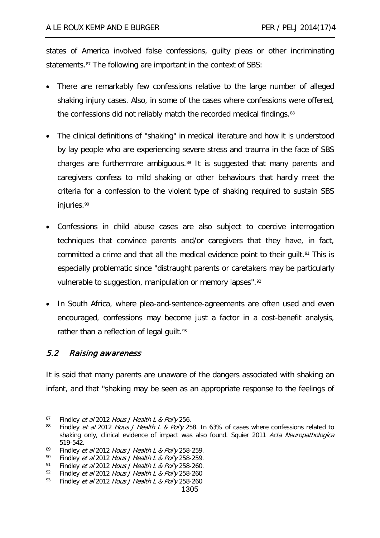states of America involved false confessions, guilty pleas or other incriminating statements.<sup>[87](#page-19-0)</sup> The following are important in the context of SBS:

- There are remarkably few confessions relative to the large number of alleged shaking injury cases. Also, in some of the cases where confessions were offered, the confessions did not reliably match the recorded medical findings.<sup>[88](#page-19-1)</sup>
- The clinical definitions of "shaking" in medical literature and how it is understood by lay people who are experiencing severe stress and trauma in the face of SBS charges are furthermore ambiguous.[89](#page-19-2) It is suggested that many parents and caregivers confess to mild shaking or other behaviours that hardly meet the criteria for a confession to the violent type of shaking required to sustain SBS injuries.<sup>[90](#page-19-3)</sup>
- Confessions in child abuse cases are also subject to coercive interrogation techniques that convince parents and/or caregivers that they have, in fact, committed a crime and that all the medical evidence point to their guilt.<sup>[91](#page-19-4)</sup> This is especially problematic since "distraught parents or caretakers may be particularly vulnerable to suggestion, manipulation or memory lapses".<sup>[92](#page-19-5)</sup>
- In South Africa, where plea-and-sentence-agreements are often used and even encouraged, confessions may become just a factor in a cost-benefit analysis, rather than a reflection of legal guilt.<sup>[93](#page-19-6)</sup>

# 5.2 Raising awareness

-

It is said that many parents are unaware of the dangers associated with shaking an infant, and that "shaking may be seen as an appropriate response to the feelings of

<span id="page-19-0"></span><sup>&</sup>lt;sup>87</sup> Findley *et al* 2012 Hous J Health L & Pol'y 256.

<span id="page-19-1"></span>Findley et al 2012 Hous J Health L & Pol'y 258. In 63% of cases where confessions related to shaking only, clinical evidence of impact was also found. Squier 2011 Acta Neuropathologica 519-542.

<span id="page-19-2"></span><sup>&</sup>lt;sup>89</sup> Findley *et al* 2012 Hous J Health L & Pol'y 258-259.<br><sup>90</sup> Findley *et al* 2012 Hous J Health L & Pol'y 258-259.

<span id="page-19-3"></span><sup>&</sup>lt;sup>90</sup> Findley *et al* 2012 *Hous J Health L & Pol'y* 258-259.<br><sup>91</sup> Findley *et al* 2012 *Hous J Health L & Pol'y* 258-260

<span id="page-19-4"></span><sup>&</sup>lt;sup>91</sup> Findley *et al* 2012 Hous J Health L & Pol'y 258-260.<br><sup>92</sup> Findley *et al* 2012 Hous J Health L & Pol'y 258-260.

<span id="page-19-6"></span><span id="page-19-5"></span><sup>&</sup>lt;sup>92</sup> Findley *et al* 2012 Hous J Health L & Pol'y 258-260<br><sup>93</sup> Findley *et al* 2012 Hous J Health L & Pol'y 258-260

Findley et al 2012 Hous J Health L & Pol'y 258-260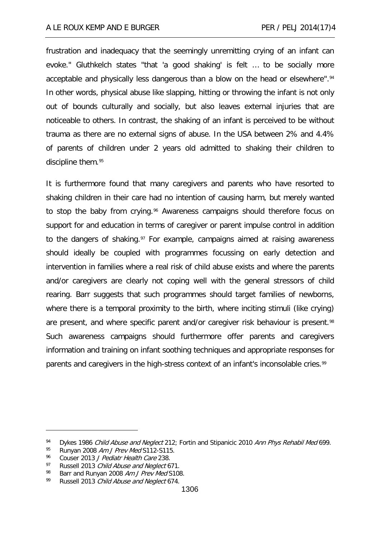frustration and inadequacy that the seemingly unremitting crying of an infant can evoke." Gluthkelch states "that 'a good shaking' is felt … to be socially more acceptable and physically less dangerous than a blow on the head or elsewhere".<sup>[94](#page-20-0)</sup> In other words, physical abuse like slapping, hitting or throwing the infant is not only out of bounds culturally and socially, but also leaves external injuries that are noticeable to others. In contrast, the shaking of an infant is perceived to be without trauma as there are no external signs of abuse. In the USA between 2% and 4.4% of parents of children under 2 years old admitted to shaking their children to discipline them.[95](#page-20-1)

It is furthermore found that many caregivers and parents who have resorted to shaking children in their care had no intention of causing harm, but merely wanted to stop the baby from crying.<sup>[96](#page-20-2)</sup> Awareness campaigns should therefore focus on support for and education in terms of caregiver or parent impulse control in addition to the dangers of shaking.<sup>[97](#page-20-3)</sup> For example, campaigns aimed at raising awareness should ideally be coupled with programmes focussing on early detection and intervention in families where a real risk of child abuse exists and where the parents and/or caregivers are clearly not coping well with the general stressors of child rearing. Barr suggests that such programmes should target families of newborns, where there is a temporal proximity to the birth, where inciting stimuli (like crying) are present, and where specific parent and/or caregiver risk behaviour is present.<sup>[98](#page-20-4)</sup> Such awareness campaigns should furthermore offer parents and caregivers information and training on infant soothing techniques and appropriate responses for parents and caregivers in the high-stress context of an infant's inconsolable cries.<sup>[99](#page-20-5)</sup>

<span id="page-20-0"></span><sup>94</sup> Dykes 1986 Child Abuse and Neglect 212; Fortin and Stipanicic 2010 Ann Phys Rehabil Med 699.

<span id="page-20-1"></span>Runyan 2008 Am J Prev Med S112-S115.

<span id="page-20-2"></span> $\frac{96}{97}$  Couser 2013 *J Pediatr Health Care* 238.<br> $\frac{97}{97}$  Russell 2013 *Child Abuse and Neglect 6* 

<span id="page-20-4"></span><span id="page-20-3"></span><sup>97</sup> Russell 2013 Child Abuse and Neglect 671.

Barr and Runyan 2008 Am J Prev Med S108.

<span id="page-20-5"></span><sup>99</sup> Russell 2013 Child Abuse and Neglect 674.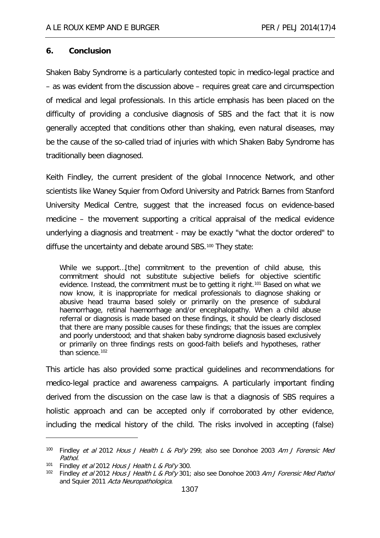#### **6. Conclusion**

Shaken Baby Syndrome is a particularly contested topic in medico-legal practice and – as was evident from the discussion above – requires great care and circumspection of medical and legal professionals. In this article emphasis has been placed on the difficulty of providing a conclusive diagnosis of SBS and the fact that it is now generally accepted that conditions other than shaking, even natural diseases, may be the cause of the so-called triad of injuries with which Shaken Baby Syndrome has traditionally been diagnosed.

Keith Findley, the current president of the global Innocence Network, and other scientists like Waney Squier from Oxford University and Patrick Barnes from Stanford University Medical Centre, suggest that the increased focus on evidence-based medicine – the movement supporting a critical appraisal of the medical evidence underlying a diagnosis and treatment - may be exactly "what the doctor ordered" to diffuse the uncertainty and debate around SBS.<sup>[100](#page-21-0)</sup> They state:

While we support…[the] commitment to the prevention of child abuse, this commitment should not substitute subjective beliefs for objective scientific evidence. Instead, the commitment must be to getting it right.<sup>[101](#page-21-1)</sup> Based on what we now know, it is inappropriate for medical professionals to diagnose shaking or abusive head trauma based solely or primarily on the presence of subdural haemorrhage, retinal haemorrhage and/or encephalopathy. When a child abuse referral or diagnosis is made based on these findings, it should be clearly disclosed that there are many possible causes for these findings; that the issues are complex and poorly understood; and that shaken baby syndrome diagnosis based exclusively or primarily on three findings rests on good-faith beliefs and hypotheses, rather than science.<sup>[102](#page-21-2)</sup>

This article has also provided some practical guidelines and recommendations for medico-legal practice and awareness campaigns. A particularly important finding derived from the discussion on the case law is that a diagnosis of SBS requires a holistic approach and can be accepted only if corroborated by other evidence, including the medical history of the child. The risks involved in accepting (false)

<span id="page-21-0"></span><sup>&</sup>lt;sup>100</sup> Findley et al 2012 Hous J Health L & Pol'y 299; also see Donohoe 2003 Am J Forensic Med Pathol.

<span id="page-21-1"></span><sup>&</sup>lt;sup>101</sup> Findley *et al* 2012 Hous J Health L & Pol'y 300.

<span id="page-21-2"></span><sup>&</sup>lt;sup>102</sup> Findley et al 2012 Hous J Health L & Pol'y 301; also see Donohoe 2003 Am J Forensic Med Pathol and Squier 2011 Acta Neuropathologica.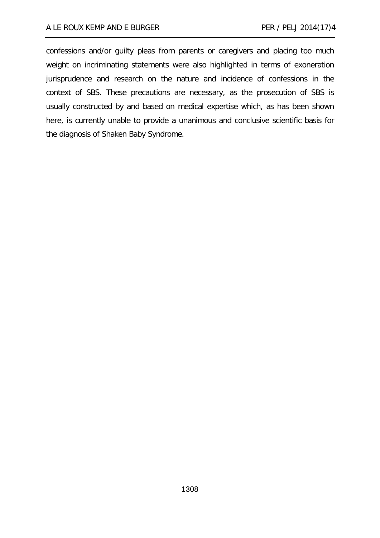confessions and/or guilty pleas from parents or caregivers and placing too much weight on incriminating statements were also highlighted in terms of exoneration jurisprudence and research on the nature and incidence of confessions in the context of SBS. These precautions are necessary, as the prosecution of SBS is usually constructed by and based on medical expertise which, as has been shown here, is currently unable to provide a unanimous and conclusive scientific basis for the diagnosis of Shaken Baby Syndrome.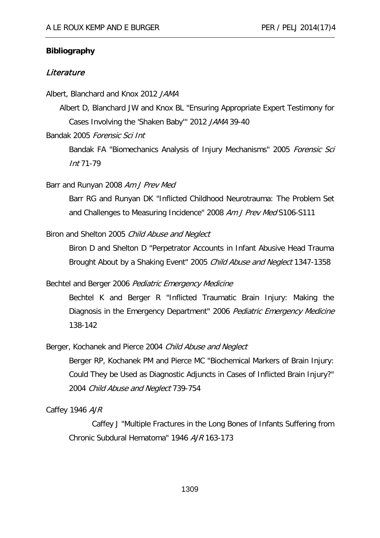#### **Bibliography**

#### **Literature**

Albert, Blanchard and Knox 2012 JAMA

Albert D, Blanchard JW and Knox BL "Ensuring Appropriate Expert Testimony for Cases Involving the 'Shaken Baby''' 2012 JAMA 39-40

Bandak 2005 Forensic Sci Int

Bandak FA "Biomechanics Analysis of Injury Mechanisms" 2005 Forensic Sci Int 71-79

## Barr and Runyan 2008 Am J Prev Med

Barr RG and Runyan DK "Inflicted Childhood Neurotrauma: The Problem Set and Challenges to Measuring Incidence" 2008 Am J Prev Med S106-S111

#### Biron and Shelton 2005 Child Abuse and Neglect

Biron D and Shelton D "Perpetrator Accounts in Infant Abusive Head Trauma Brought About by a Shaking Event" 2005 Child Abuse and Neglect 1347-1358

Bechtel and Berger 2006 Pediatric Emergency Medicine

Bechtel K and Berger R "Inflicted Traumatic Brain Injury: Making the Diagnosis in the Emergency Department" 2006 Pediatric Emergency Medicine 138-142

Berger, Kochanek and Pierce 2004 Child Abuse and Neglect

Berger RP, Kochanek PM and Pierce MC "Biochemical Markers of Brain Injury: Could They be Used as Diagnostic Adjuncts in Cases of Inflicted Brain Injury?" 2004 Child Abuse and Neglect 739-754

Caffey 1946 AJR

Caffey J "Multiple Fractures in the Long Bones of Infants Suffering from Chronic Subdural Hematoma" 1946 AJR 163-173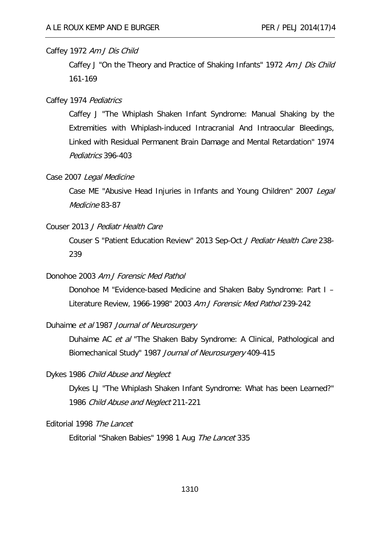#### Caffey 1972 Am J Dis Child

Caffey J "On the Theory and Practice of Shaking Infants" 1972 Am J Dis Child 161-169

#### Caffey 1974 Pediatrics

Caffey J "The Whiplash Shaken Infant Syndrome: Manual Shaking by the Extremities with Whiplash-induced Intracranial And Intraocular Bleedings, Linked with Residual Permanent Brain Damage and Mental Retardation" 1974 Pediatrics 396-403

#### Case 2007 Legal Medicine

Case ME "Abusive Head Injuries in Infants and Young Children" 2007 Legal Medicine 83-87

#### Couser 2013 J Pediatr Health Care

Couser S "Patient Education Review" 2013 Sep-Oct J Pediatr Health Care 238- 239

# Donohoe 2003 Am J Forensic Med Pathol

Donohoe M "Evidence-based Medicine and Shaken Baby Syndrome: Part I – Literature Review, 1966-1998" 2003 Am J Forensic Med Pathol 239-242

## Duhaime et al 1987 Journal of Neurosurgery

Duhaime AC et al "The Shaken Baby Syndrome: A Clinical, Pathological and Biomechanical Study" 1987 Journal of Neurosurgery 409-415

## Dykes 1986 Child Abuse and Neglect

Dykes LJ "The Whiplash Shaken Infant Syndrome: What has been Learned?" 1986 Child Abuse and Neglect 211-221

#### Editorial 1998 The Lancet

Editorial "Shaken Babies" 1998 1 Aug The Lancet 335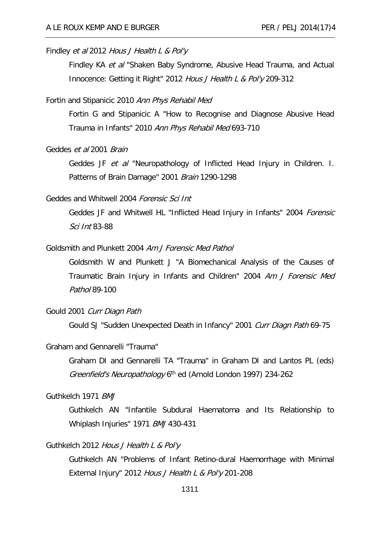## Findley et al 2012 Hous J Health L & Pol'y

Findley KA et al "Shaken Baby Syndrome, Abusive Head Trauma, and Actual Innocence: Getting it Right" 2012 Hous J Health L & Pol'y 209-312

#### Fortin and Stipanicic 2010 Ann Phys Rehabil Med

Fortin G and Stipanicic A "How to Recognise and Diagnose Abusive Head Trauma in Infants" 2010 Ann Phys Rehabil Med 693-710

#### Geddes et al 2001 Brain

Geddes JF et al "Neuropathology of Inflicted Head Injury in Children. I. Patterns of Brain Damage" 2001 Brain 1290-1298

#### Geddes and Whitwell 2004 Forensic Sci Int

Geddes JF and Whitwell HL "Inflicted Head Injury in Infants" 2004 Forensic Sci Int 83-88

# Goldsmith and Plunkett 2004 Am J Forensic Med Pathol

Goldsmith W and Plunkett J "A Biomechanical Analysis of the Causes of Traumatic Brain Injury in Infants and Children" 2004 Am J Forensic Med Pathol 89-100

#### Gould 2001 Curr Diagn Path

Gould SJ "Sudden Unexpected Death in Infancy" 2001 Curr Diagn Path 69-75

### Graham and Gennarelli "Trauma"

Graham DI and Gennarelli TA "Trauma" in Graham DI and Lantos PL (eds) Greenfield's Neuropathology 6<sup>th</sup> ed (Arnold London 1997) 234-262

# Guthkelch 1971 BMJ

Guthkelch AN "Infantile Subdural Haematoma and Its Relationship to Whiplash Injuries" 1971 BMJ 430-431

#### Guthkelch 2012 Hous J Health L & Pol'y

Guthkelch AN "Problems of Infant Retino-dural Haemorrhage with Minimal External Injury" 2012 Hous J Health L & Pol'y 201-208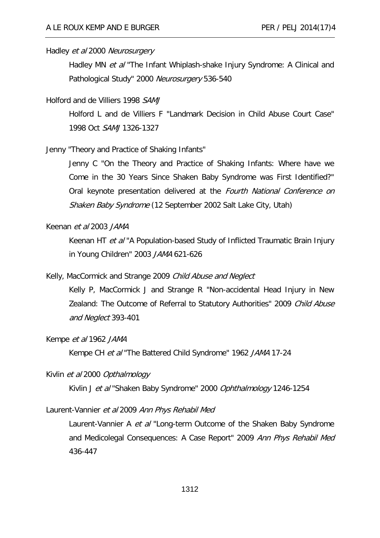#### Hadley et al 2000 Neurosurgery

Hadley MN *et al* "The Infant Whiplash-shake Injury Syndrome: A Clinical and Pathological Study" 2000 Neurosurgery 536-540

#### Holford and de Villiers 1998 SAMJ

Holford L and de Villiers F "Landmark Decision in Child Abuse Court Case" 1998 Oct SAMJ 1326-1327

Jenny "Theory and Practice of Shaking Infants"

Jenny C "On the Theory and Practice of Shaking Infants: Where have we Come in the 30 Years Since Shaken Baby Syndrome was First Identified?" Oral keynote presentation delivered at the Fourth National Conference on Shaken Baby Syndrome (12 September 2002 Salt Lake City, Utah)

#### Keenan et al 2003 JAMA

Keenan HT et al "A Population-based Study of Inflicted Traumatic Brain Injury in Young Children" 2003 JAMA 621-626

# Kelly, MacCormick and Strange 2009 Child Abuse and Neglect

Kelly P, MacCormick J and Strange R "Non-accidental Head Injury in New Zealand: The Outcome of Referral to Statutory Authorities" 2009 Child Abuse and Neglect 393-401

## Kempe et al 1962 JAMA

Kempe CH et al "The Battered Child Syndrome" 1962 JAMA 17-24

# Kivlin et al 2000 Opthalmology

Kivlin J et al "Shaken Baby Syndrome" 2000 Ophthalmology 1246-1254

# Laurent-Vannier et al 2009 Ann Phys Rehabil Med

Laurent-Vannier A et al "Long-term Outcome of the Shaken Baby Syndrome and Medicolegal Consequences: A Case Report" 2009 Ann Phys Rehabil Med 436-447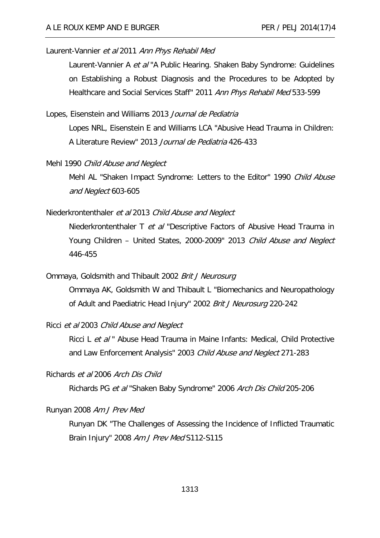#### Laurent-Vannier et al 2011 Ann Phys Rehabil Med

Laurent-Vannier A et al "A Public Hearing. Shaken Baby Syndrome: Guidelines on Establishing a Robust Diagnosis and the Procedures to be Adopted by Healthcare and Social Services Staff" 2011 Ann Phys Rehabil Med 533-599

#### Lopes, Eisenstein and Williams 2013 Journal de Pediatria

Lopes NRL, Eisenstein E and Williams LCA "Abusive Head Trauma in Children: A Literature Review" 2013 Journal de Pediatria 426-433

#### Mehl 1990 Child Abuse and Neglect

Mehl AL "Shaken Impact Syndrome: Letters to the Editor" 1990 Child Abuse and Neglect 603-605

#### Niederkrontenthaler et al 2013 Child Abuse and Neglect

Niederkrontenthaler T et al "Descriptive Factors of Abusive Head Trauma in Young Children - United States, 2000-2009" 2013 Child Abuse and Neglect 446-455

# Ommaya, Goldsmith and Thibault 2002 Brit J Neurosurg

Ommaya AK, Goldsmith W and Thibault L "Biomechanics and Neuropathology of Adult and Paediatric Head Injury" 2002 Brit J Neurosurg 220-242

#### Ricci et al 2003 Child Abuse and Neglect

Ricci L et al " Abuse Head Trauma in Maine Infants: Medical, Child Protective and Law Enforcement Analysis" 2003 Child Abuse and Neglect 271-283

Richards et al 2006 Arch Dis Child

Richards PG et al "Shaken Baby Syndrome" 2006 Arch Dis Child 205-206

## Runyan 2008 Am J Prev Med

Runyan DK "The Challenges of Assessing the Incidence of Inflicted Traumatic Brain Injury" 2008 Am J Prev Med S112-S115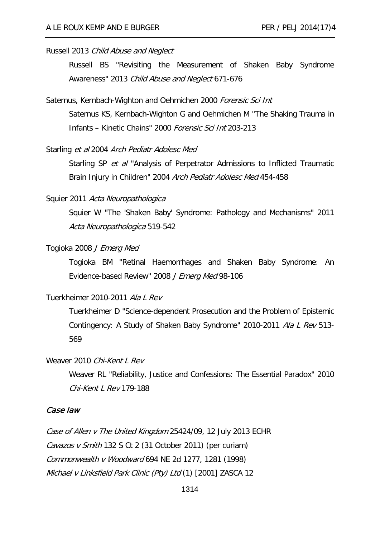#### Russell 2013 Child Abuse and Neglect

Russell BS "Revisiting the Measurement of Shaken Baby Syndrome Awareness" 2013 Child Abuse and Neglect 671-676

#### Saternus, Kernbach-Wighton and Oehmichen 2000 Forensic Sci Int

Saternus KS, Kernbach-Wighton G and Oehmichen M "The Shaking Trauma in Infants – Kinetic Chains" 2000 Forensic Sci Int 203-213

#### Starling et al 2004 Arch Pediatr Adolesc Med

Starling SP *et al* "Analysis of Perpetrator Admissions to Inflicted Traumatic Brain Injury in Children" 2004 Arch Pediatr Adolesc Med 454-458

## Squier 2011 Acta Neuropathologica

Squier W "The 'Shaken Baby' Syndrome: Pathology and Mechanisms" 2011 Acta Neuropathologica 519-542

## Togioka 2008 J Emerg Med

Togioka BM "Retinal Haemorrhages and Shaken Baby Syndrome: An Evidence-based Review" 2008 J Emerg Med 98-106

# Tuerkheimer 2010-2011 Ala L Rev

Tuerkheimer D "Science-dependent Prosecution and the Problem of Epistemic Contingency: A Study of Shaken Baby Syndrome" 2010-2011 Ala L Rev 513- 569

## Weaver 2010 Chi-Kent L Rev

Weaver RL "Reliability, Justice and Confessions: The Essential Paradox" 2010 Chi-Kent L Rev 179-188

# Case law

Case of Allen v The United Kingdom 25424/09, 12 July 2013 ECHR Cavazos v Smith 132 S Ct 2 (31 October 2011) (per curiam) Commonwealth v Woodward 694 NE 2d 1277, 1281 (1998) Michael v Linksfield Park Clinic (Pty) Ltd (1) [2001] ZASCA 12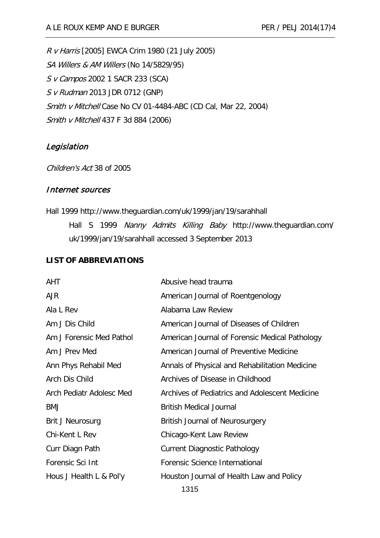R v Harris [2005] EWCA Crim 1980 (21 July 2005) SA Willers & AM Willers (No 14/5829/95) S v Campos 2002 1 SACR 233 (SCA) S v Rudman 2013 JDR 0712 (GNP) Smith v Mitchell Case No CV 01-4484-ABC (CD Cal, Mar 22, 2004) Smith v Mitchell 437 F 3d 884 (2006)

# Legislation

Children's Act 38 of 2005

#### Internet sources

Hall 1999 http://www.theguardian.com/uk/1999/jan/19/sarahhall Hall S 1999 Nanny Admits Killing Baby http://www.theguardian.com/ uk/1999/jan/19/sarahhall accessed 3 September 2013

# **LIST OF ABBREVIATIONS**

| AHT                      | Abusive head trauma                            |
|--------------------------|------------------------------------------------|
| <b>AJR</b>               | American Journal of Roentgenology              |
| Ala L Rev                | Alabama Law Review                             |
| Am J Dis Child           | American Journal of Diseases of Children       |
| Am J Forensic Med Pathol | American Journal of Forensic Medical Pathology |
| Am J Prev Med            | American Journal of Preventive Medicine        |
| Ann Phys Rehabil Med     | Annals of Physical and Rehabilitation Medicine |
| Arch Dis Child           | Archives of Disease in Childhood               |
| Arch Pediatr Adolesc Med | Archives of Pediatrics and Adolescent Medicine |
| <b>BMJ</b>               | <b>British Medical Journal</b>                 |
| Brit J Neurosurg         | <b>British Journal of Neurosurgery</b>         |
| Chi-Kent L Rev           | Chicago-Kent Law Review                        |
| Curr Diagn Path          | <b>Current Diagnostic Pathology</b>            |
| Forensic Sci Int         | Forensic Science International                 |
| Hous J Health L & Pol'y  | Houston Journal of Health Law and Policy       |
| 1315                     |                                                |